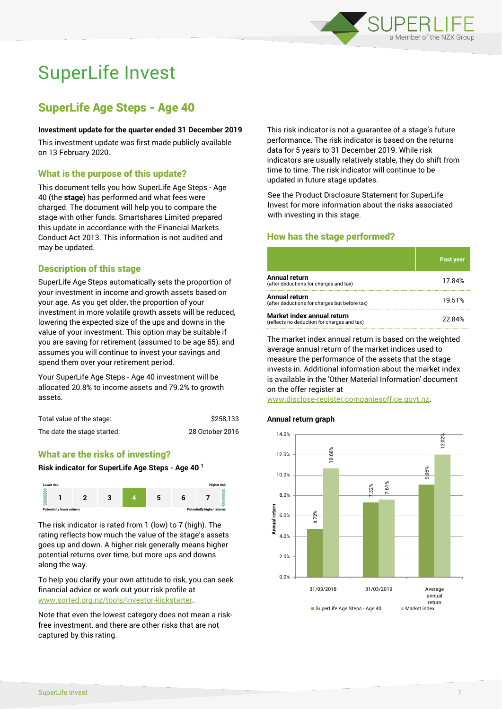

# SuperLife Invest

# SuperLife Age Steps - Age 40

#### **Investment update for the quarter ended 31 December 2019**

This investment update was first made publicly available on 13 February 2020.

# What is the purpose of this update?

This document tells you how SuperLife Age Steps - Age 40 (the **stage**) has performed and what fees were charged. The document will help you to compare the stage with other funds. Smartshares Limited prepared this update in accordance with the Financial Markets Conduct Act 2013. This information is not audited and may be updated.

# Description of this stage

SuperLife Age Steps automatically sets the proportion of your investment in income and growth assets based on your age. As you get older, the proportion of your investment in more volatile growth assets will be reduced, lowering the expected size of the ups and downs in the value of your investment. This option may be suitable if you are saving for retirement (assumed to be age 65), and assumes you will continue to invest your savings and spend them over your retirement period.

Your SuperLife Age Steps - Age 40 investment will be allocated 20.8% to income assets and 79.2% to growth assets.

| Total value of the stage:   | \$258,133       |
|-----------------------------|-----------------|
| The date the stage started: | 28 October 2016 |

# What are the risks of investing?

#### **Risk indicator for SuperLife Age Steps - Age 40 <sup>1</sup>**



The risk indicator is rated from 1 (low) to 7 (high). The rating reflects how much the value of the stage's assets goes up and down. A higher risk generally means higher potential returns over time, but more ups and downs along the way.

To help you clarify your own attitude to risk, you can seek financial advice or work out your risk profile at [www.sorted.org.nz/tools/investor-kickstarter.](http://www.sorted.org.nz/tools/investor-kickstarter)

Note that even the lowest category does not mean a riskfree investment, and there are other risks that are not captured by this rating.

This risk indicator is not a guarantee of a stage's future performance. The risk indicator is based on the returns data for 5 years to 31 December 2019. While risk indicators are usually relatively stable, they do shift from time to time. The risk indicator will continue to be updated in future stage updates.

See the Product Disclosure Statement for SuperLife Invest for more information about the risks associated with investing in this stage.

# How has the stage performed?

|                                                                           | <b>Past year</b> |
|---------------------------------------------------------------------------|------------------|
| Annual return<br>(after deductions for charges and tax)                   | 17.84%           |
| Annual return<br>(after deductions for charges but before tax)            | 19.51%           |
| Market index annual return<br>(reflects no deduction for charges and tax) | 22.84%           |

The market index annual return is based on the weighted average annual return of the market indices used to measure the performance of the assets that the stage invests in. Additional information about the market index is available in the 'Other Material Information' document on the offer register at

www.disclose-register.companiesoffice.govt.nz.

## **Annual return graph**

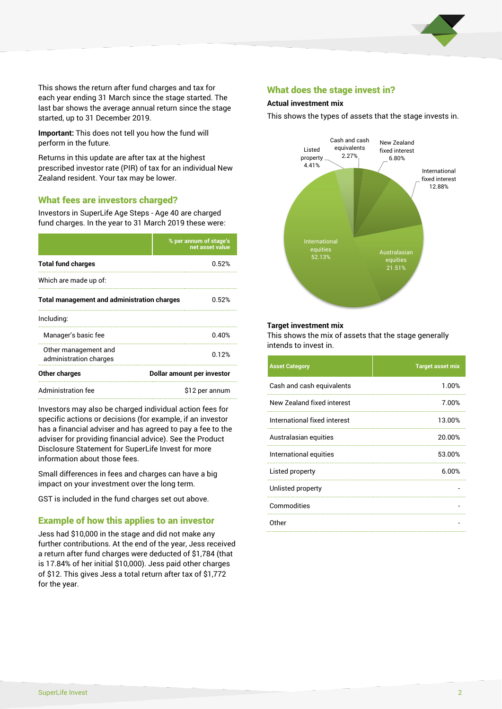

This shows the return after fund charges and tax for each year ending 31 March since the stage started. The last bar shows the average annual return since the stage started, up to 31 December 2019.

**Important:** This does not tell you how the fund will perform in the future.

Returns in this update are after tax at the highest prescribed investor rate (PIR) of tax for an individual New Zealand resident. Your tax may be lower.

# What fees are investors charged?

Investors in SuperLife Age Steps - Age 40 are charged fund charges. In the year to 31 March 2019 these were:

|                                                    | % per annum of stage's<br>net asset value |  |
|----------------------------------------------------|-------------------------------------------|--|
| <b>Total fund charges</b>                          | 0.52%                                     |  |
| Which are made up of:                              |                                           |  |
| <b>Total management and administration charges</b> | 0.52%                                     |  |
| Including:                                         |                                           |  |
| Manager's basic fee                                | 0.40%                                     |  |
| Other management and<br>administration charges     | 0.12%                                     |  |
| Other charges                                      | Dollar amount per investor                |  |
| Administration fee                                 | \$12 per annum                            |  |

Investors may also be charged individual action fees for specific actions or decisions (for example, if an investor has a financial adviser and has agreed to pay a fee to the adviser for providing financial advice). See the Product Disclosure Statement for SuperLife Invest for more information about those fees.

Small differences in fees and charges can have a big impact on your investment over the long term.

GST is included in the fund charges set out above.

# Example of how this applies to an investor

Jess had \$10,000 in the stage and did not make any further contributions. At the end of the year, Jess received a return after fund charges were deducted of \$1,784 (that is 17.84% of her initial \$10,000). Jess paid other charges of \$12. This gives Jess a total return after tax of \$1,772 for the year.

## What does the stage invest in?

#### **Actual investment mix**

This shows the types of assets that the stage invests in.



#### **Target investment mix**

This shows the mix of assets that the stage generally intends to invest in.

| <b>Asset Category</b>        | <b>Target asset mix</b> |
|------------------------------|-------------------------|
| Cash and cash equivalents    | 1.00%                   |
| New Zealand fixed interest   | 7.00%                   |
| International fixed interest | 13.00%                  |
| Australasian equities        | 20.00%                  |
| International equities       | 53.00%                  |
| Listed property              | 6.00%                   |
| Unlisted property            |                         |
| Commodities                  |                         |
| Other                        |                         |